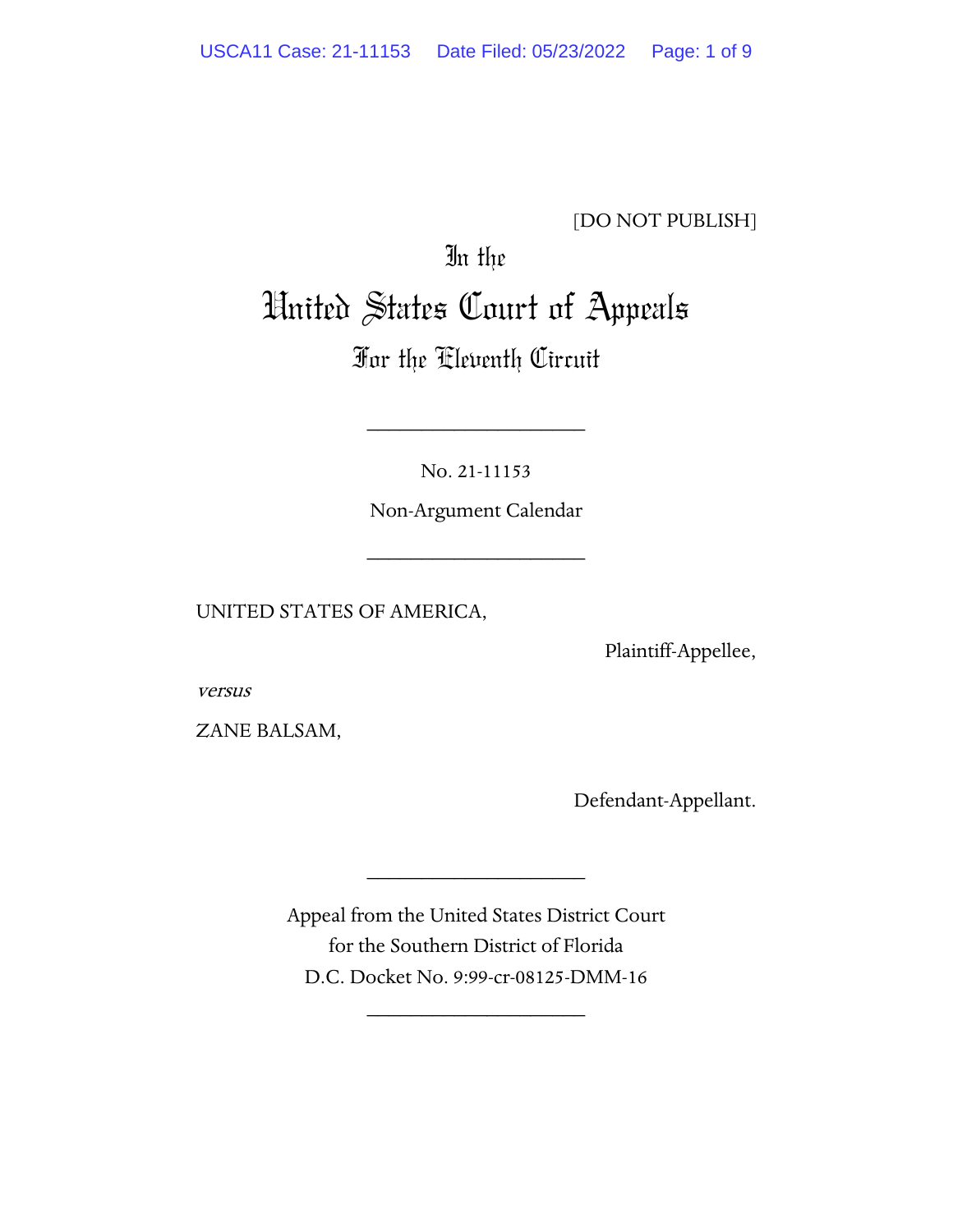# [DO NOT PUBLISH]

# In the United States Court of Appeals

# For the Eleventh Circuit

No. 21-11153

\_\_\_\_\_\_\_\_\_\_\_\_\_\_\_\_\_\_\_\_

Non-Argument Calendar

\_\_\_\_\_\_\_\_\_\_\_\_\_\_\_\_\_\_\_\_

UNITED STATES OF AMERICA,

Plaintiff-Appellee,

versus

ZANE BALSAM,

Defendant-Appellant.

Appeal from the United States District Court for the Southern District of Florida D.C. Docket No. 9:99-cr-08125-DMM-16

\_\_\_\_\_\_\_\_\_\_\_\_\_\_\_\_\_\_\_\_

\_\_\_\_\_\_\_\_\_\_\_\_\_\_\_\_\_\_\_\_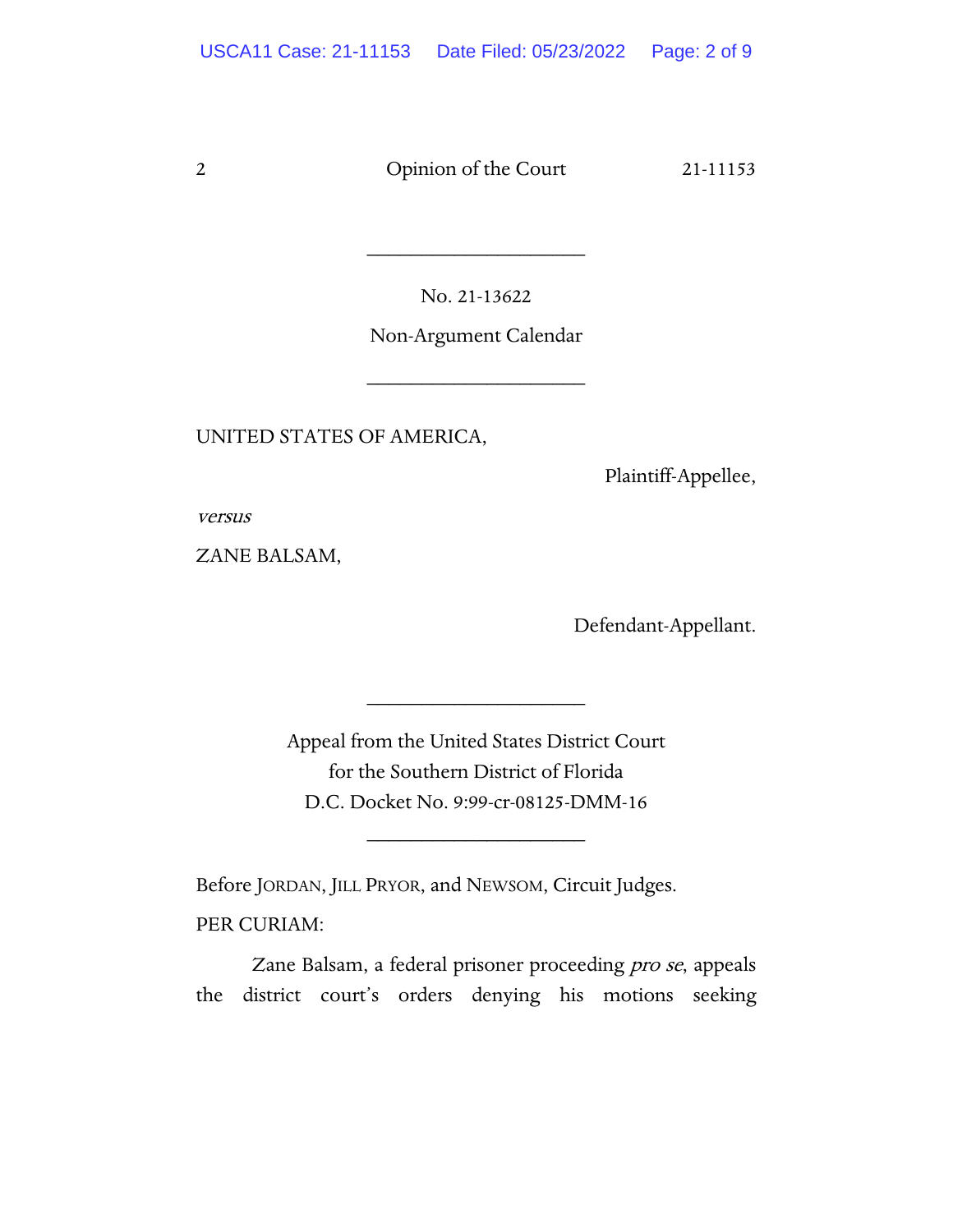No. 21-13622

\_\_\_\_\_\_\_\_\_\_\_\_\_\_\_\_\_\_\_\_

Non-Argument Calendar

\_\_\_\_\_\_\_\_\_\_\_\_\_\_\_\_\_\_\_\_

UNITED STATES OF AMERICA,

Plaintiff-Appellee,

versus

ZANE BALSAM,

Defendant-Appellant.

Appeal from the United States District Court for the Southern District of Florida D.C. Docket No. 9:99-cr-08125-DMM-16

\_\_\_\_\_\_\_\_\_\_\_\_\_\_\_\_\_\_\_\_

\_\_\_\_\_\_\_\_\_\_\_\_\_\_\_\_\_\_\_\_

Before JORDAN, JILL PRYOR, and NEWSOM, Circuit Judges.

PER CURIAM:

Zane Balsam, a federal prisoner proceeding pro se, appeals the district court's orders denying his motions seeking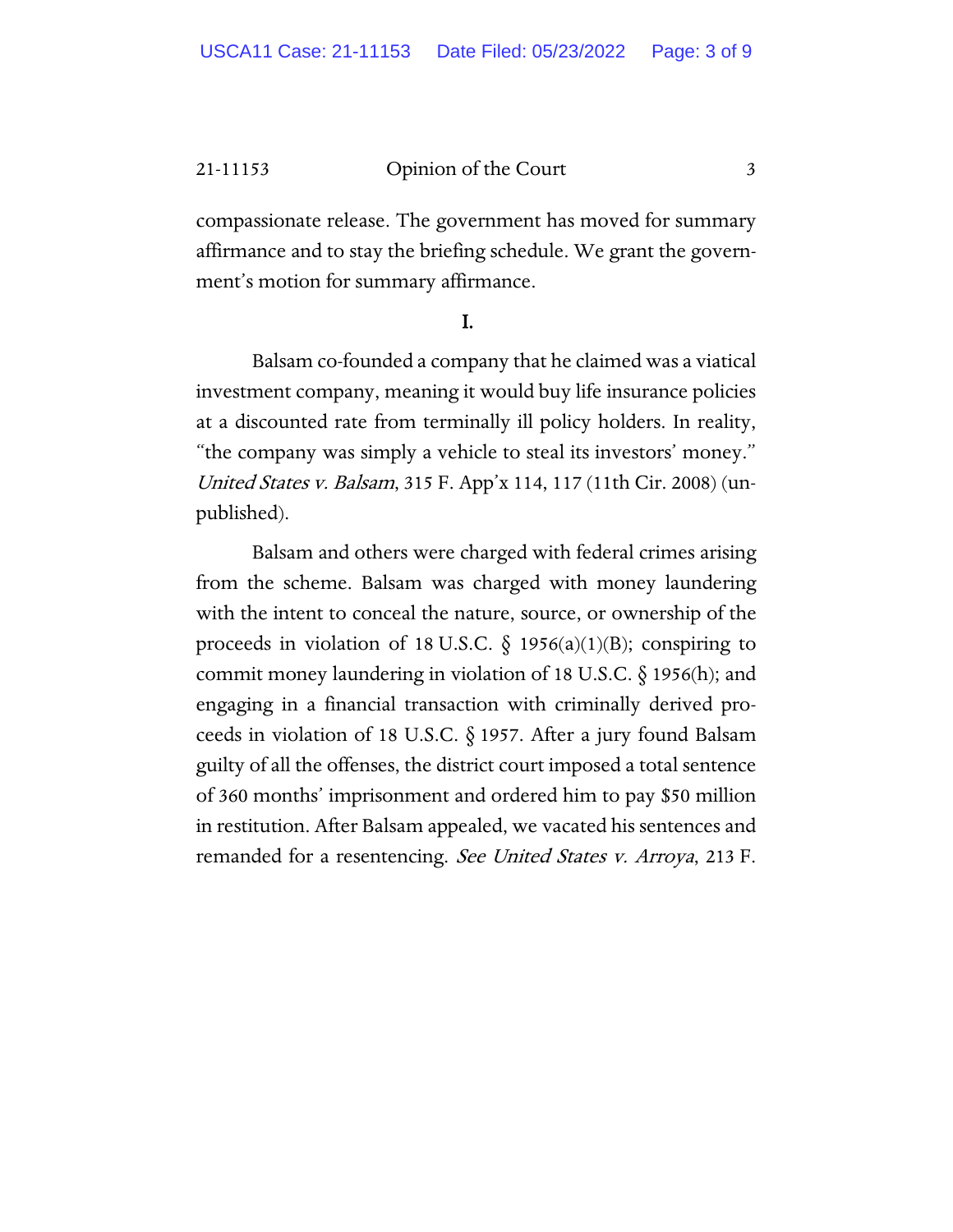compassionate release. The government has moved for summary affirmance and to stay the briefing schedule. We grant the government's motion for summary affirmance.

#### I.

Balsam co-founded a company that he claimed was a viatical investment company, meaning it would buy life insurance policies at a discounted rate from terminally ill policy holders. In reality, "the company was simply a vehicle to steal its investors' money." United States v. Balsam, 315 F. App'x 114, 117 (11th Cir. 2008) (unpublished).

Balsam and others were charged with federal crimes arising from the scheme. Balsam was charged with money laundering with the intent to conceal the nature, source, or ownership of the proceeds in violation of 18 U.S.C.  $\S$  1956(a)(1)(B); conspiring to commit money laundering in violation of 18 U.S.C.  $\S$  1956(h); and engaging in a financial transaction with criminally derived proceeds in violation of 18 U.S.C. § 1957. After a jury found Balsam guilty of all the offenses, the district court imposed a total sentence of 360 months' imprisonment and ordered him to pay \$50 million in restitution. After Balsam appealed, we vacated his sentences and remanded for a resentencing. See United States v. Arroya, 213 F.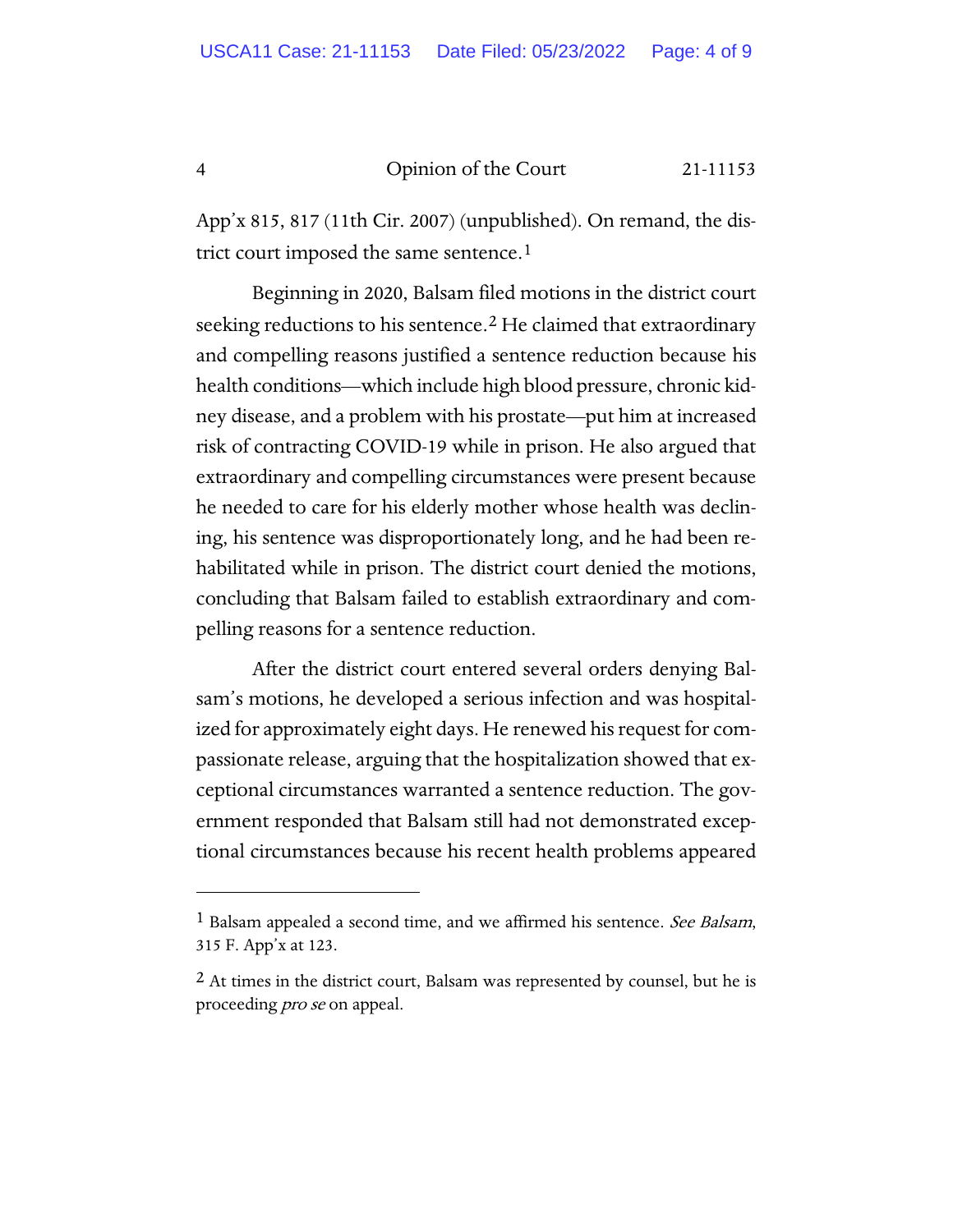App'x 815, 817 (11th Cir. 2007) (unpublished). On remand, the district court imposed the same sentence.<sup>1</sup>

Beginning in 2020, Balsam filed motions in the district court seeking reductions to his sentence.<sup>[2](#page-3-1)</sup> He claimed that extraordinary and compelling reasons justified a sentence reduction because his health conditions—which include high blood pressure, chronic kidney disease, and a problem with his prostate—put him at increased risk of contracting COVID-19 while in prison. He also argued that extraordinary and compelling circumstances were present because he needed to care for his elderly mother whose health was declining, his sentence was disproportionately long, and he had been rehabilitated while in prison. The district court denied the motions, concluding that Balsam failed to establish extraordinary and compelling reasons for a sentence reduction.

After the district court entered several orders denying Balsam's motions, he developed a serious infection and was hospitalized for approximately eight days. He renewed his request for compassionate release, arguing that the hospitalization showed that exceptional circumstances warranted a sentence reduction. The government responded that Balsam still had not demonstrated exceptional circumstances because his recent health problems appeared

<span id="page-3-0"></span><sup>&</sup>lt;sup>1</sup> Balsam appealed a second time, and we affirmed his sentence. See Balsam, 315 F. App'x at 123.

<span id="page-3-1"></span> $2$  At times in the district court, Balsam was represented by counsel, but he is proceeding *pro se* on appeal.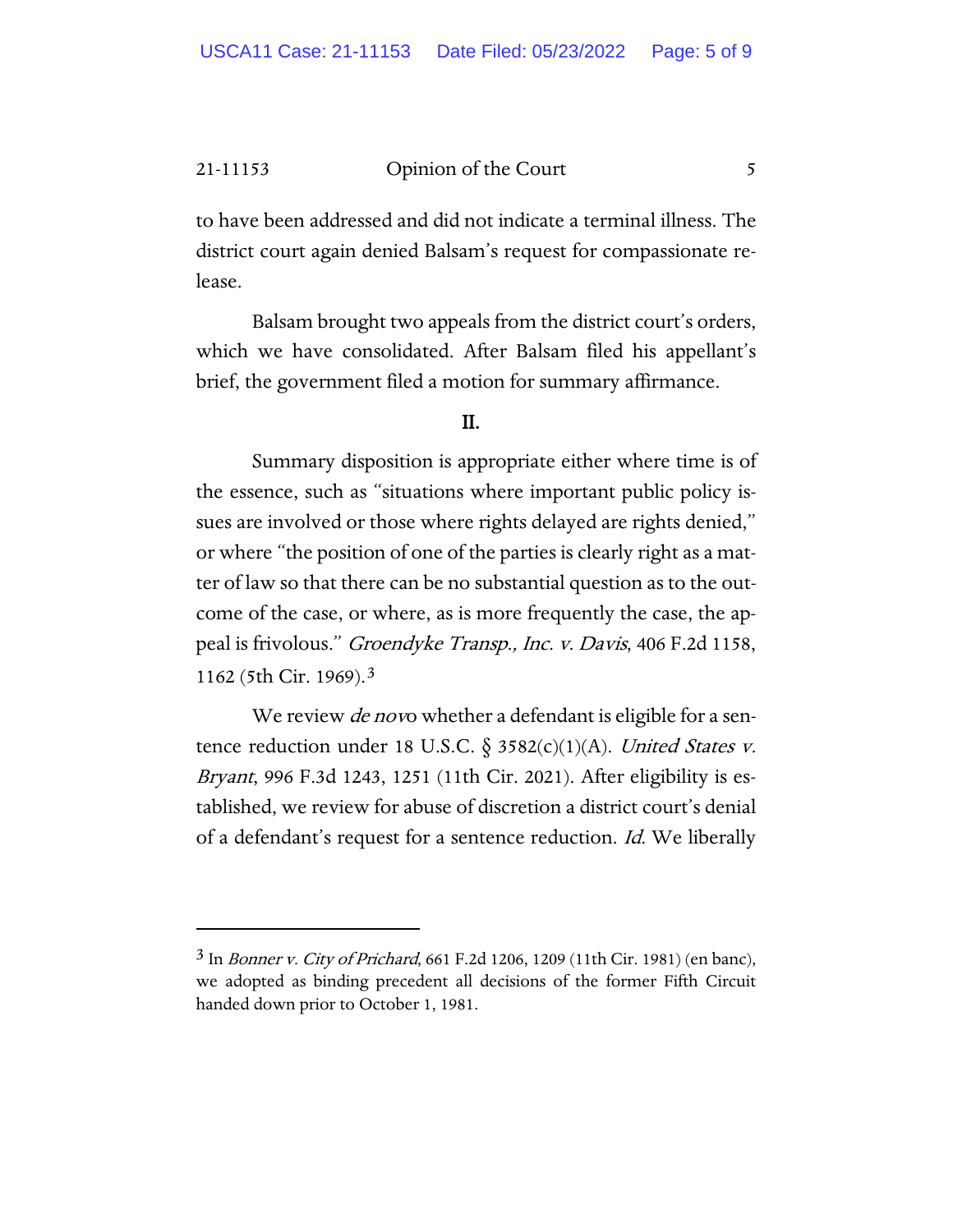to have been addressed and did not indicate a terminal illness. The district court again denied Balsam's request for compassionate release.

Balsam brought two appeals from the district court's orders, which we have consolidated. After Balsam filed his appellant's brief, the government filed a motion for summary affirmance.

## II.

Summary disposition is appropriate either where time is of the essence, such as "situations where important public policy issues are involved or those where rights delayed are rights denied," or where "the position of one of the parties is clearly right as a matter of law so that there can be no substantial question as to the outcome of the case, or where, as is more frequently the case, the appeal is frivolous." Groendyke Transp., Inc. v. Davis, 406 F.2d 1158, 1162 (5th Cir. 1969).[3](#page-4-0)

We review *de nov*o whether a defendant is eligible for a sentence reduction under 18 U.S.C.  $\S$  3582(c)(1)(A). United States v. Bryant, 996 F.3d 1243, 1251 (11th Cir. 2021). After eligibility is established, we review for abuse of discretion a district court's denial of a defendant's request for a sentence reduction. Id. We liberally

<span id="page-4-0"></span><sup>3</sup> In Bonner v. City of Prichard, 661 F.2d 1206, 1209 (11th Cir. 1981) (en banc), we adopted as binding precedent all decisions of the former Fifth Circuit handed down prior to October 1, 1981.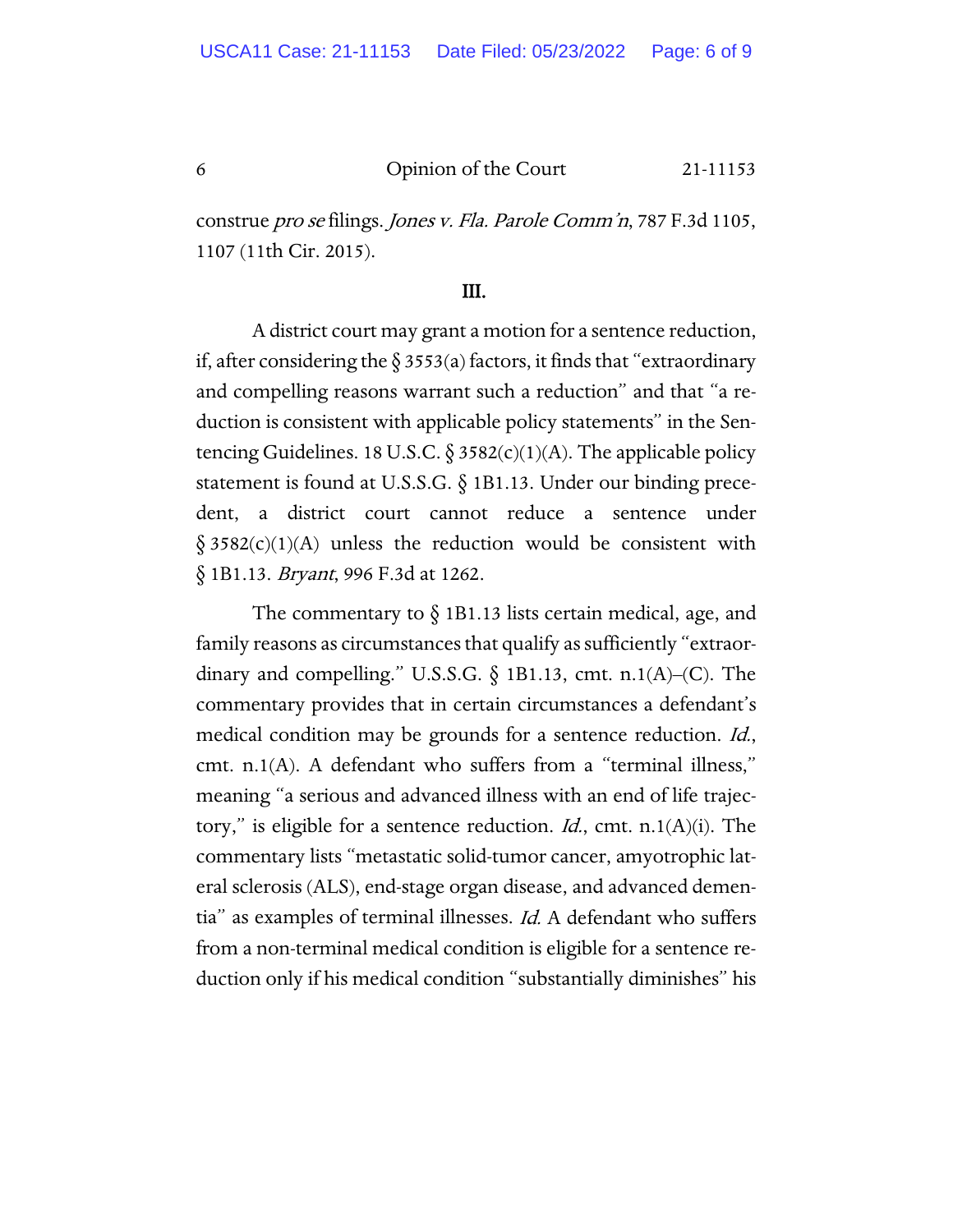construe pro se filings. Jones v. Fla. Parole Comm'n, 787 F.3d 1105, 1107 (11th Cir. 2015).

## III.

A district court may grant a motion for a sentence reduction, if, after considering the  $\S$  3553(a) factors, it finds that "extraordinary and compelling reasons warrant such a reduction" and that "a reduction is consistent with applicable policy statements" in the Sentencing Guidelines. 18 U.S.C.  $\S 3582(c)(1)(A)$ . The applicable policy statement is found at U.S.S.G. § 1B1.13. Under our binding precedent, a district court cannot reduce a sentence under  $§ 3582(c)(1)(A)$  unless the reduction would be consistent with § 1B1.13. *Bryant*, 996 F.3d at 1262.

The commentary to  $\S$  1B1.13 lists certain medical, age, and family reasons as circumstances that qualify as sufficiently "extraordinary and compelling." U.S.S.G.  $\S$  1B1.13, cmt. n.1(A)–(C). The commentary provides that in certain circumstances a defendant's medical condition may be grounds for a sentence reduction. *Id.*, cmt. n.1(A). A defendant who suffers from a "terminal illness," meaning "a serious and advanced illness with an end of life trajectory," is eligible for a sentence reduction. *Id.*, cmt. n.1(A)(i). The commentary lists "metastatic solid-tumor cancer, amyotrophic lateral sclerosis (ALS), end-stage organ disease, and advanced dementia" as examples of terminal illnesses. Id. A defendant who suffers from a non-terminal medical condition is eligible for a sentence reduction only if his medical condition "substantially diminishes" his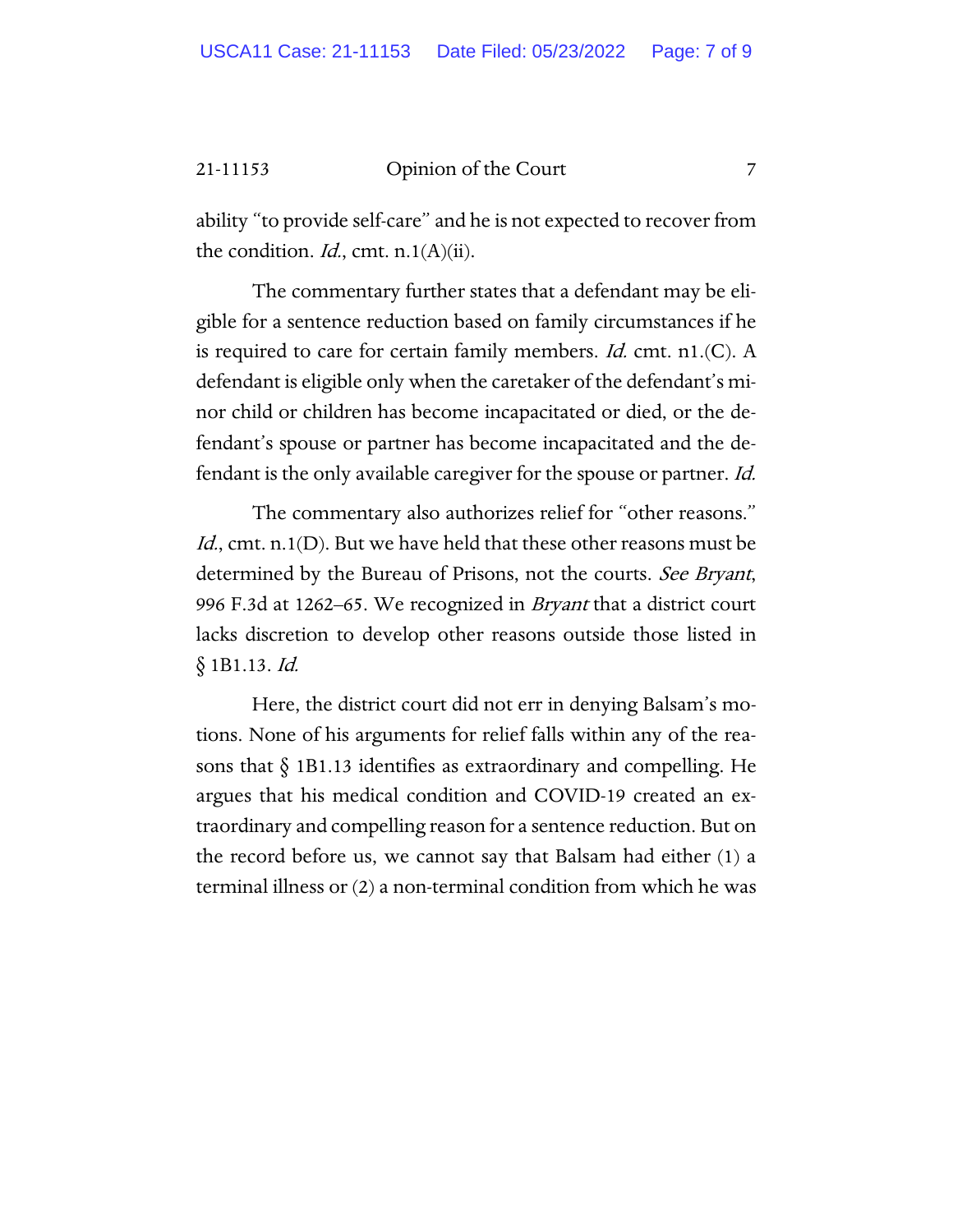ability "to provide self-care" and he is not expected to recover from the condition. *Id.*, cmt. n.1(A)(ii).

The commentary further states that a defendant may be eligible for a sentence reduction based on family circumstances if he is required to care for certain family members. *Id.* cmt.  $n1$ . (C). A defendant is eligible only when the caretaker of the defendant's minor child or children has become incapacitated or died, or the defendant's spouse or partner has become incapacitated and the defendant is the only available caregiver for the spouse or partner. Id.

The commentary also authorizes relief for "other reasons." *Id.*, cmt. n.1(D). But we have held that these other reasons must be determined by the Bureau of Prisons, not the courts. See Bryant, 996 F.3d at 1262–65. We recognized in Bryant that a district court lacks discretion to develop other reasons outside those listed in § 1B1.13. Id.

Here, the district court did not err in denying Balsam's motions. None of his arguments for relief falls within any of the reasons that  $\S$  1B1.13 identifies as extraordinary and compelling. He argues that his medical condition and COVID-19 created an extraordinary and compelling reason for a sentence reduction. But on the record before us, we cannot say that Balsam had either (1) a terminal illness or (2) a non-terminal condition from which he was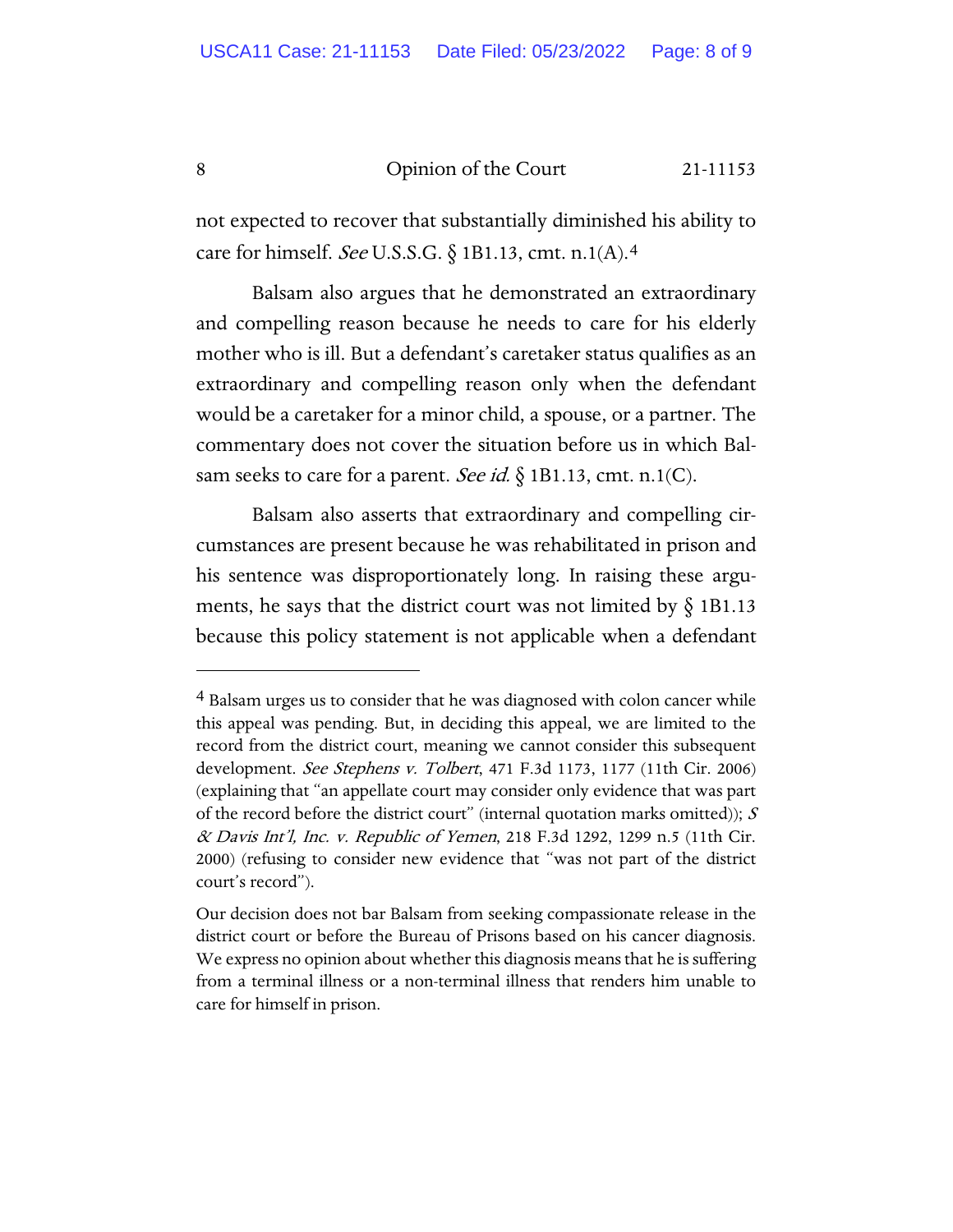not expected to recover that substantially diminished his ability to care for himself. See U.S.S.G. § 1B1.13, cmt. n.1(A).[4](#page-7-0)

Balsam also argues that he demonstrated an extraordinary and compelling reason because he needs to care for his elderly mother who is ill. But a defendant's caretaker status qualifies as an extraordinary and compelling reason only when the defendant would be a caretaker for a minor child, a spouse, or a partner. The commentary does not cover the situation before us in which Balsam seeks to care for a parent. See id.  $\S$  1B1.13, cmt. n.1(C).

Balsam also asserts that extraordinary and compelling circumstances are present because he was rehabilitated in prison and his sentence was disproportionately long. In raising these arguments, he says that the district court was not limited by  $\S$  1B1.13 because this policy statement is not applicable when a defendant

<span id="page-7-0"></span><sup>&</sup>lt;sup>4</sup> Balsam urges us to consider that he was diagnosed with colon cancer while this appeal was pending. But, in deciding this appeal, we are limited to the record from the district court, meaning we cannot consider this subsequent development. See Stephens v. Tolbert, 471 F.3d 1173, 1177 (11th Cir. 2006) (explaining that "an appellate court may consider only evidence that was part of the record before the district court" (internal quotation marks omitted));  $S$ & Davis Int'l, Inc. v. Republic of Yemen, 218 F.3d 1292, 1299 n.5 (11th Cir. 2000) (refusing to consider new evidence that "was not part of the district court's record").

Our decision does not bar Balsam from seeking compassionate release in the district court or before the Bureau of Prisons based on his cancer diagnosis. We express no opinion about whether this diagnosis means that he is suffering from a terminal illness or a non-terminal illness that renders him unable to care for himself in prison.